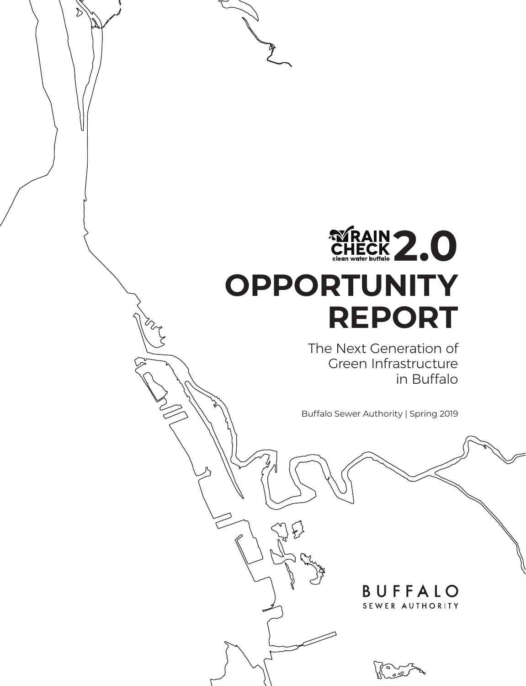# **2.0**<br>CHECK 2.0 **OPPORTUNITY REPORT**

کمچ

The Next Generation of Green Infrastructure in Buffalo

Buffalo Sewer Authority | Spring 2019

# BUFFALO SEWER AUTHORITY

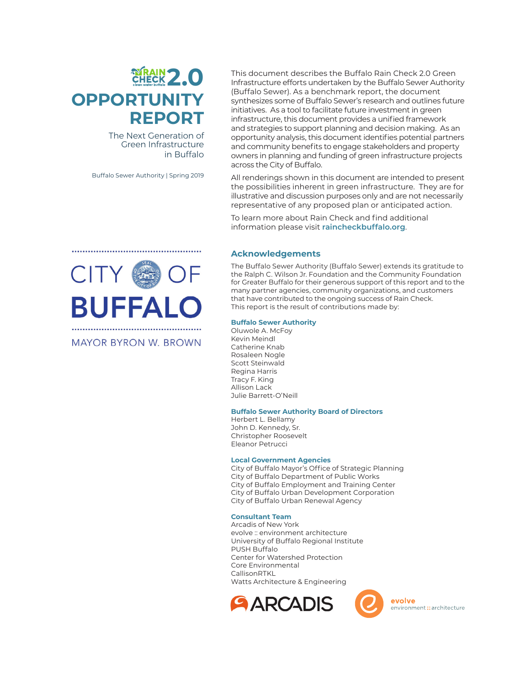# **2.0**<br>CHECK 2.0 **OPPORTUNITY REPORT**

The Next Generation of Green Infrastructure in Buffalo

Buffalo Sewer Authority | Spring 2019

This document describes the Buffalo Rain Check 2.0 Green Infrastructure efforts undertaken by the Buffalo Sewer Authority (Buffalo Sewer). As a benchmark report, the document synthesizes some of Buffalo Sewer's research and outlines future initiatives. As a tool to facilitate future investment in green infrastructure, this document provides a unified framework and strategies to support planning and decision making. As an opportunity analysis, this document identifies potential partners and community benefits to engage stakeholders and property owners in planning and funding of green infrastructure projects across the City of Buffalo.

All renderings shown in this document are intended to present the possibilities inherent in green infrastructure. They are for illustrative and discussion purposes only and are not necessarily representative of any proposed plan or anticipated action.

To learn more about Rain Check and find additional information please visit **raincheckbuffalo.org**.

### **Acknowledgements**

The Buffalo Sewer Authority (Buffalo Sewer) extends its gratitude to the Ralph C. Wilson Jr. Foundation and the Community Foundation for Greater Buffalo for their generous support of this report and to the many partner agencies, community organizations, and customers that have contributed to the ongoing success of Rain Check. This report is the result of contributions made by:

#### **Buffalo Sewer Authority**

Oluwole A. McFoy Kevin Meindl Catherine Knab Rosaleen Nogle Scott Steinwald Regina Harris Tracy F. King Allison Lack Julie Barrett-O'Neill

#### **Buffalo Sewer Authority Board of Directors**

Herbert L. Bellamy John D. Kennedy, Sr. Christopher Roosevelt Eleanor Petrucci

#### **Local Government Agencies**

City of Buffalo Mayor's Office of Strategic Planning City of Buffalo Department of Public Works City of Buffalo Employment and Training Center City of Buffalo Urban Development Corporation City of Buffalo Urban Renewal Agency

### **Consultant Team**

Arcadis of New York evolve :: environment architecture University of Buffalo Regional Institute PUSH Buffalo Center for Watershed Protection Core Environmental CallisonRTKL Watts Architecture & Engineering



evolve environment::architecture



**MAYOR BYRON W. BROWN**